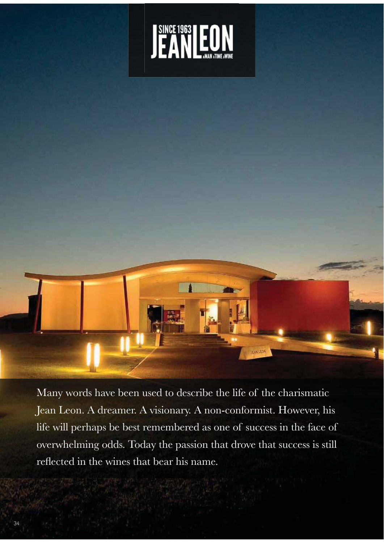



Many words have been used to describe the life of the charismatic Jean Leon. A dreamer. A visionary. A non-conformist. However, his life will perhaps be best remembered as one of success in the face of overwhelming odds. Today the passion that drove that success is still reflected in the wines that bear his name.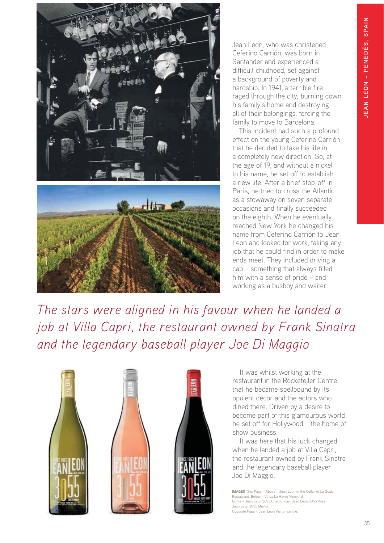



Jean Leon, who was christened Ceferino Carrión, was born in Santander and experienced a difficult childhood, set against a background of poverty and hardship. In 1941, a terrible fire raged through the city, burning down his family's home and destroying all of their belongings, forcing the family to move to Barcelona.

This incident had such a profound effect on the young Ceferino Carrión that he decided to take his life in a completely new direction. So, at the age of 19, and without a nickel to his name, he set off to establish a new life. After a brief stop-off in Paris, he tried to cross the Atlantic as a stowaway on seven separate occasions and finally succeeded on the eighth. When he eventually reached New York he changed his name from Ceferino Carrión to Jean Leon and looked for work, taking any job that he could find in order to make ends meet. They included driving a cab – something that always filled him with a sense of pride – and working as a busboy and waiter.

*The stars were aligned in his favour when he landed a job at Villa Capri, the restaurant owned by Frank Sinatra and the legendary baseball player Joe Di Maggio*



It was whilst working at the restaurant in the Rockefeller Centre that he became spellbound by its opulent décor and the actors who dined there. Driven by a desire to become part of this glamourous world he set off for Hollywood – the home of show business.

It was here that his luck changed when he landed a job at Villa Capri, the restaurant owned by Frank Sinatra and the legendary baseball player Joe Di Maggio.

IMAGES This Page – Above – Jean Leon in the Cellar of La Scala Restaurant. Below – Vinya La Havre Vineyard. Bottle – Jean Leon 3055 Chardonnay, Jean Leon 3055 Rosé, Jean Leon 3055 Merlot. Opposite Page – Jean Leon Visitor centre.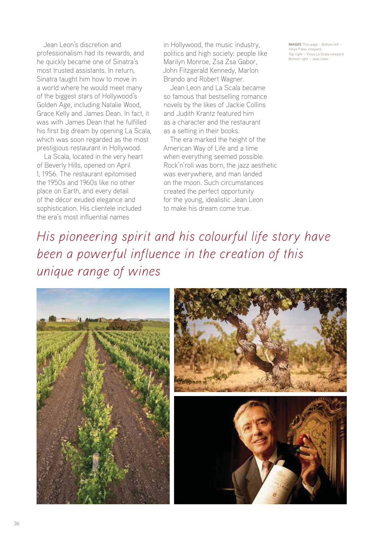Jean Leon's discretion and professionalism had its rewards, and he quickly became one of Sinatra's most trusted assistants. In return, Sinatra taught him how to move in a world where he would meet many of the biggest stars of Hollywood's Golden Age, including Natalie Wood, Grace Kelly and James Dean. In fact, it was with James Dean that he fulfilled his first big dream by opening La Scala, which was soon regarded as the most prestigious restaurant in Hollywood.

La Scala, located in the very heart of Beverly Hills, opened on April 1, 1956. The restaurant epitomised the 1950s and 1960s like no other place on Earth, and every detail of the décor exuded elegance and sophistication. His clientele included the era's most influential names

in Hollywood, the music industry, politics and high society: people like Marilyn Monroe, Zsa Zsa Gabor, John Fitzgerald Kennedy, Marlon Brando and Robert Wagner.

Jean Leon and La Scala became so famous that bestselling romance novels by the likes of Jackie Collins and Judith Krantz featured him as a character and the restaurant as a setting in their books.

The era marked the height of the American Way of Life and a time when everything seemed possible. Rock'n'roll was born, the jazz aesthetic was everywhere, and man landed on the moon. Such circumstances created the perfect opportunity for the young, idealistic Jean Leon to make his dream come true.

IMAGES This page – Bottom left – Vinya Palau vineyard. Top right – Vinya La Scala vineyard. Bottom right – Jean Leon.

*His pioneering spirit and his colourful life story have been a powerful influence in the creation of this unique range of wines*